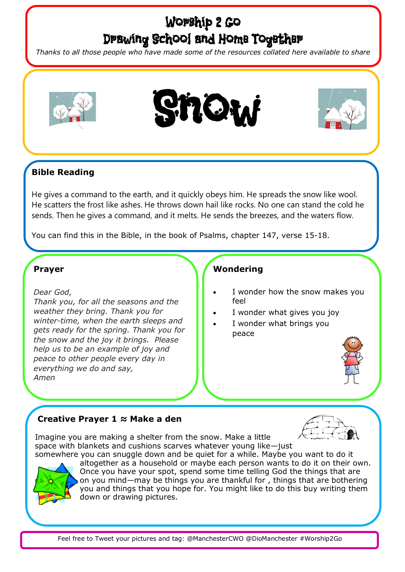# Worship 2 Go Drawing School and Home Together

*Thanks to all those people who have made some of the resources collated here available to share*







## **Bible Reading**

He gives a command to the earth, and it quickly obeys him. He spreads the snow like wool. He scatters the frost like ashes. He throws down hail like rocks. No one can stand the cold he sends. Then he gives a command, and it melts. He sends the breezes, and the waters flow.

You can find this in the Bible, in the book of Psalms, chapter 147, verse 15-18.

#### **Prayer**

*Dear God,*

*Thank you, for all the seasons and the weather they bring. Thank you for winter-time, when the earth sleeps and gets ready for the spring. Thank you for the snow and the joy it brings. Please help us to be an example of joy and peace to other people every day in everything we do and say, Amen*

### **Wondering**

- I wonder how the snow makes you feel
- I wonder what gives you joy
- I wonder what brings you peace



### **Creative Prayer 1 ≈ Make a den**



Imagine you are making a shelter from the snow. Make a little space with blankets and cushions scarves whatever young like—just



somewhere you can snuggle down and be quiet for a while. Maybe you want to do it altogether as a household or maybe each person wants to do it on their own. Once you have your spot, spend some time telling God the things that are on you mind—may be things you are thankful for , things that are bothering you and things that you hope for. You might like to do this buy writing them down or drawing pictures.